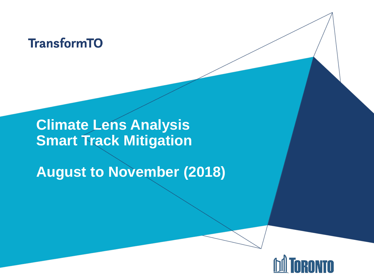### **TransformTO**

### **Climate Lens Analysis Smart Track Mitigation**

**August to November (2018)**

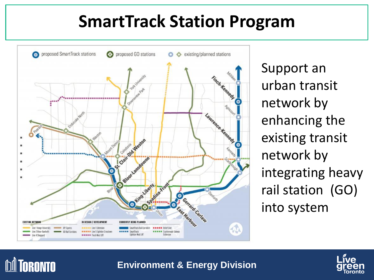### **SmartTrack Station Program**



Support an urban transit network by enhancing the existing transit network by integrating heavy rail station (GO) into system



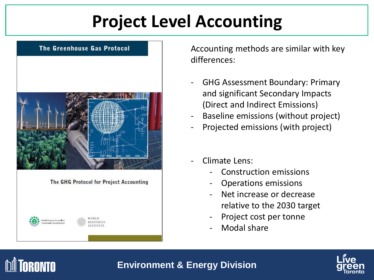## **Project Level Accounting**



Accounting methods are similar with key differences:

- GHG Assessment Boundary: Primary and significant Secondary Impacts (Direct and Indirect Emissions)
- Baseline emissions (without project)
- Projected emissions (with project)
- Climate Lens:
	- Construction emissions
	- Operations emissions
	- Net increase or decrease relative to the 2030 target
	- Project cost per tonne
	- Modal share



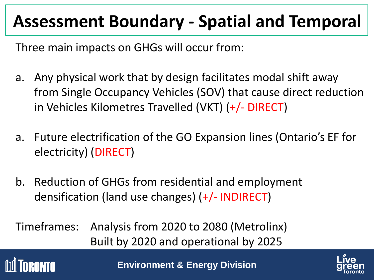## **Assessment Boundary - Spatial and Temporal**

Three main impacts on GHGs will occur from:

- a. Any physical work that by design facilitates modal shift away from Single Occupancy Vehicles (SOV) that cause direct reduction in Vehicles Kilometres Travelled (VKT) (+/- DIRECT)
- a. Future electrification of the GO Expansion lines (Ontario's EF for electricity) (DIRECT)
- b. Reduction of GHGs from residential and employment densification (land use changes) (+/- INDIRECT)

Timeframes: Analysis from 2020 to 2080 (Metrolinx) Built by 2020 and operational by 2025



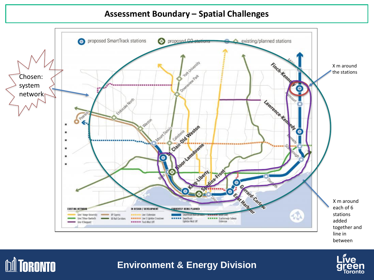#### **Assessment Boundary – Spatial Challenges**





#### **Environment & Energy Division**

**M** TORONTO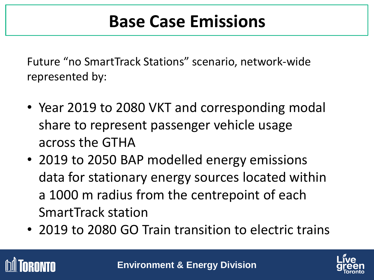Future "no SmartTrack Stations" scenario, network-wide represented by:

- Year 2019 to 2080 VKT and corresponding modal share to represent passenger vehicle usage across the GTHA
- 2019 to 2050 BAP modelled energy emissions data for stationary energy sources located within a 1000 m radius from the centrepoint of each SmartTrack station
- 2019 to 2080 GO Train transition to electric trains



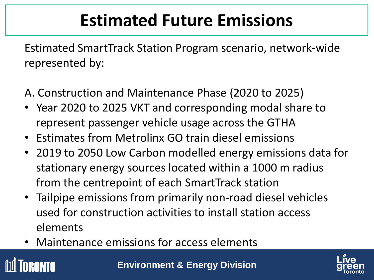## **Estimated Future Emissions**

Estimated SmartTrack Station Program scenario, network-wide represented by:

- A. Construction and Maintenance Phase (2020 to 2025)
- Year 2020 to 2025 VKT and corresponding modal share to represent passenger vehicle usage across the GTHA
- Estimates from Metrolinx GO train diesel emissions
- 2019 to 2050 Low Carbon modelled energy emissions data for stationary energy sources located within a 1000 m radius from the centrepoint of each SmartTrack station
- Tailpipe emissions from primarily non-road diesel vehicles used for construction activities to install station access elements
- Maintenance emissions for access elements



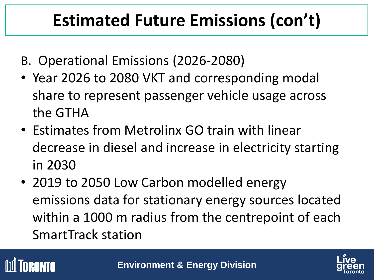## **Estimated Future Emissions (con't)**

- B. Operational Emissions (2026-2080)
- Year 2026 to 2080 VKT and corresponding modal share to represent passenger vehicle usage across the GTHA
- Estimates from Metrolinx GO train with linear decrease in diesel and increase in electricity starting in 2030
- 2019 to 2050 Low Carbon modelled energy emissions data for stationary energy sources located within a 1000 m radius from the centrepoint of each SmartTrack station



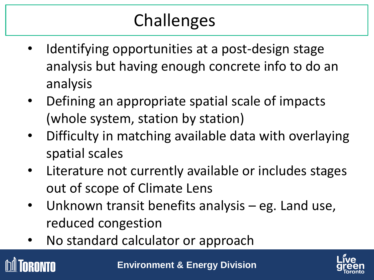## Challenges Challenges

- Identifying opportunities at a post-design stage analysis but having enough concrete info to do an analysis
- Defining an appropriate spatial scale of impacts (whole system, station by station)
- Difficulty in matching available data with overlaying spatial scales
- Literature not currently available or includes stages out of scope of Climate Lens
- Unknown transit benefits analysis eg. Land use, reduced congestion
- No standard calculator or approach



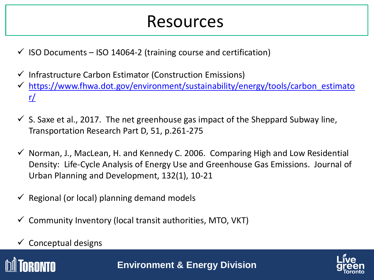### Resources

- $\checkmark$  ISO Documents ISO 14064-2 (training course and certification)
- $\checkmark$  Infrastructure Carbon Estimator (Construction Emissions)
- $\checkmark$  [https://www.fhwa.dot.gov/environment/sustainability/energy/tools/carbon\\_estimato](https://www.fhwa.dot.gov/environment/sustainability/energy/tools/carbon_estimator/) r/
- $\checkmark$  S. Saxe et al., 2017. The net greenhouse gas impact of the Sheppard Subway line, Transportation Research Part D, 51, p.261-275
- $\checkmark$  Norman, J., MacLean, H. and Kennedy C. 2006. Comparing High and Low Residential Density: Life-Cycle Analysis of Energy Use and Greenhouse Gas Emissions. Journal of Urban Planning and Development, 132(1), 10-21
- $\checkmark$  Regional (or local) planning demand models
- $\checkmark$  Community Inventory (local transit authorities, MTO, VKT)
- $\checkmark$  Conceptual designs

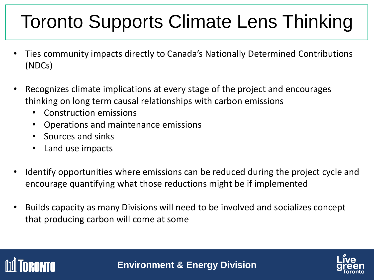## Toronto Supports Climate Lens Thinking

- Ties community impacts directly to Canada's Nationally Determined Contributions (NDCs)
- Recognizes climate implications at every stage of the project and encourages thinking on long term causal relationships with carbon emissions
	- Construction emissions
	- Operations and maintenance emissions
	- Sources and sinks
	- Land use impacts
- Identify opportunities where emissions can be reduced during the project cycle and encourage quantifying what those reductions might be if implemented
- Builds capacity as many Divisions will need to be involved and socializes concept that producing carbon will come at some